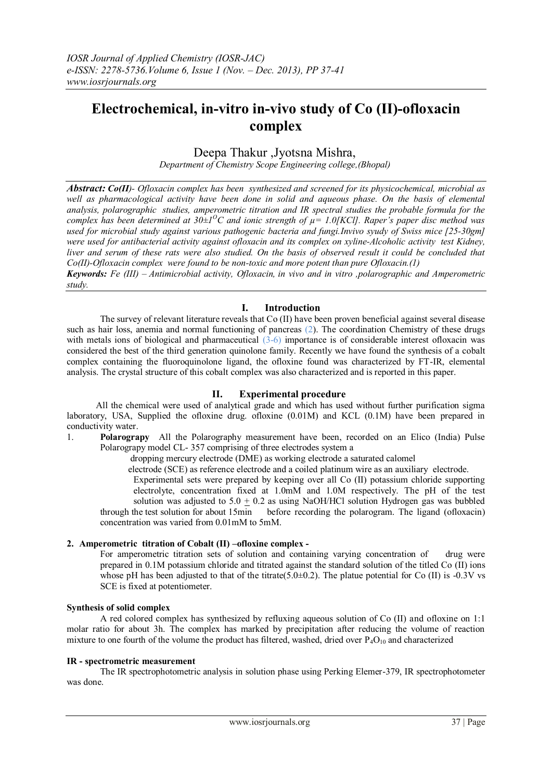# **Electrochemical, in-vitro in-vivo study of Co (II)-ofloxacin complex**

# Deepa Thakur ,Jyotsna Mishra,

*Department of Chemistry Scope Engineering college,(Bhopal)*

*Abstract: Co(II)- Ofloxacin complex has been synthesized and screened for its physicochemical, microbial as*  well as pharmacological activity have been done in solid and aqueous phase. On the basis of elemental *analysis, polarographic studies, amperometric titration and IR spectral studies the probable formula for the complex has been determined at 30±1<sup>O</sup>C and ionic strength of µ= 1.0[KCl]. Raper's paper disc method was used for microbial study against various pathogenic bacteria and fungi.Invivo syudy of Swiss mice [25-30gm] were used for antibacterial activity against ofloxacin and its complex on xyline-Alcoholic activity test Kidney, liver and serum of these rats were also studied. On the basis of observed result it could be concluded that Co(II)-Ofloxacin complex were found to be non-toxic and more potent than pure Ofloxacin.(1) Keywords: Fe (III) – Antimicrobial activity, Ofloxacin, in vivo and in vitro ,polarographic and Amperometric* 

*study.*

# **I. Introduction**

The survey of relevant literature reveals that Co (II) have been proven beneficial against several disease such as hair loss, anemia and normal functioning of pancreas (2). The coordination Chemistry of these drugs with metals ions of biological and pharmaceutical (3-6) importance is of considerable interest of loxacin was considered the best of the third generation quinolone family. Recently we have found the synthesis of a cobalt complex containing the fluoroquinolone ligand, the ofloxine found was characterized by FT-IR, elemental analysis. The crystal structure of this cobalt complex was also characterized and is reported in this paper.

# **II. Experimental procedure**

All the chemical were used of analytical grade and which has used without further purification sigma laboratory, USA, Supplied the ofloxine drug. ofloxine (0.01M) and KCL (0.1M) have been prepared in conductivity water.

1. **Polarograpy** All the Polarography measurement have been, recorded on an Elico (India) Pulse Polarograpy model CL- 357 comprising of three electrodes system a

dropping mercury electrode (DME) as working electrode a saturated calomel

electrode (SCE) as reference electrode and a coiled platinum wire as an auxiliary electrode.

Experimental sets were prepared by keeping over all Co (II) potassium chloride supporting electrolyte, concentration fixed at 1.0mM and 1.0M respectively. The pH of the test solution was adjusted to  $5.0 + 0.2$  as using NaOH/HCl solution Hydrogen gas was bubbled through the test solution for about 15min before recording the polarogram. The ligand (ofloxacin) concentration was varied from 0.01mM to 5mM.

# **2. Amperometric titration of Cobalt (II) –ofloxine complex -**

For amperometric titration sets of solution and containing varying concentration of drug were prepared in 0.1M potassium chloride and titrated against the standard solution of the titled Co (II) ions whose pH has been adjusted to that of the titrate( $5.0\pm0.2$ ). The platue potential for Co (II) is -0.3V vs SCE is fixed at potentiometer.

# **Synthesis of solid complex**

A red colored complex has synthesized by refluxing aqueous solution of Co (II) and ofloxine on 1:1 molar ratio for about 3h. The complex has marked by precipitation after reducing the volume of reaction mixture to one fourth of the volume the product has filtered, washed, dried over  $P_4O_{10}$  and characterized

#### **IR - spectrometric measurement**

The IR spectrophotometric analysis in solution phase using Perking Elemer-379, IR spectrophotometer was done.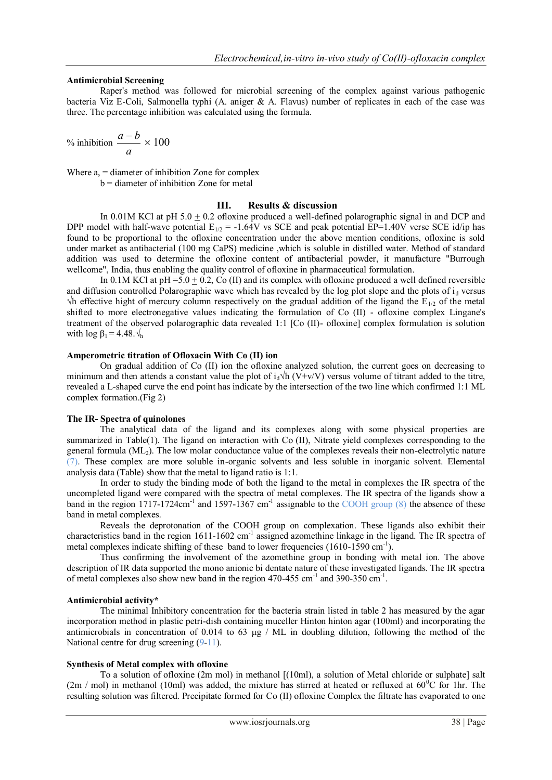#### **Antimicrobial Screening**

Raper's method was followed for microbial screening of the complex against various pathogenic bacteria Viz E-Coli, Salmonella typhi (A. aniger  $\&$  A. Flavus) number of replicates in each of the case was three. The percentage inhibition was calculated using the formula.

% inhibition 
$$
\frac{a-b}{a} \times 100
$$

Where  $a =$  diameter of inhibition Zone for complex b = diameter of inhibition Zone for metal

#### **III. Results & discussion**

In 0.01M KCl at pH 5.0 + 0.2 ofloxine produced a well-defined polarographic signal in and DCP and DPP model with half-wave potential  $E_{1/2}$  = -1.64V vs SCE and peak potential EP=1.40V verse SCE id/ip has found to be proportional to the ofloxine concentration under the above mention conditions, ofloxine is sold under market as antibacterial (100 mg CaPS) medicine ,which is soluble in distilled water. Method of standard addition was used to determine the ofloxine content of antibacterial powder, it manufacture "Burrough wellcome", India, thus enabling the quality control of ofloxine in pharmaceutical formulation.

In 0.1M KCl at  $pH = 5.0 + 0.2$ , Co (II) and its complex with of loxine produced a well defined reversible and diffusion controlled Polarographic wave which has revealed by the log plot slope and the plots of  $i_d$  versus  $\forall$ h effective hight of mercury column respectively on the gradual addition of the ligand the E<sub>1/2</sub> of the metal shifted to more electronegative values indicating the formulation of Co (II) - ofloxine complex Lingane's treatment of the observed polarographic data revealed 1:1 [Co (II)- ofloxine] complex formulation is solution with  $\log \beta_1 = 4.48 \sqrt{h}$ 

#### **Amperometric titration of Ofloxacin With Co (II) ion**

On gradual addition of Co (II) ion the ofloxine analyzed solution, the current goes on decreasing to minimum and then attends a constant value the plot of  $i_d \hat{N}$  (V+v/V) versus volume of titrant added to the titre, revealed a L-shaped curve the end point has indicate by the intersection of the two line which confirmed 1:1 ML complex formation.(Fig 2)

#### **The IR- Spectra of quinolones**

The analytical data of the ligand and its complexes along with some physical properties are summarized in Table(1). The ligand on interaction with Co (II), Nitrate yield complexes corresponding to the general formula (ML2). The low molar conductance value of the complexes reveals their non-electrolytic nature (7). These complex are more soluble in-organic solvents and less soluble in inorganic solvent. Elemental analysis data (Table) show that the metal to ligand ratio is 1:1.

In order to study the binding mode of both the ligand to the metal in complexes the IR spectra of the uncompleted ligand were compared with the spectra of metal complexes. The IR spectra of the ligands show a band in the region 1717-1724 $cm^{-1}$  and 1597-1367  $cm^{-1}$  assignable to the COOH group (8) the absence of these band in metal complexes.

Reveals the deprotonation of the COOH group on complexation. These ligands also exhibit their characteristics band in the region 1611-1602 cm<sup>-1</sup> assigned azomethine linkage in the ligand. The IR spectra of metal complexes indicate shifting of these band to lower frequencies (1610-1590 cm<sup>-1</sup>).

Thus confirming the involvement of the azomethine group in bonding with metal ion. The above description of IR data supported the mono anionic bi dentate nature of these investigated ligands. The IR spectra of metal complexes also show new band in the region 470-455 cm<sup>-1</sup> and 390-350 cm<sup>-1</sup>.

#### **Antimicrobial activity\***

The minimal Inhibitory concentration for the bacteria strain listed in table 2 has measured by the agar incorporation method in plastic petri-dish containing muceller Hinton hinton agar (100ml) and incorporating the antimicrobials in concentration of 0.014 to 63  $\mu$ g / ML in doubling dilution, following the method of the National centre for drug screening  $(9-11)$ .

#### **Synthesis of Metal complex with ofloxine**

To a solution of ofloxine (2m mol) in methanol [(10ml), a solution of Metal chloride or sulphate] salt  $(2m / mol)$  in methanol (10ml) was added, the mixture has stirred at heated or refluxed at 60<sup>o</sup>C for 1hr. The resulting solution was filtered. Precipitate formed for Co (II) ofloxine Complex the filtrate has evaporated to one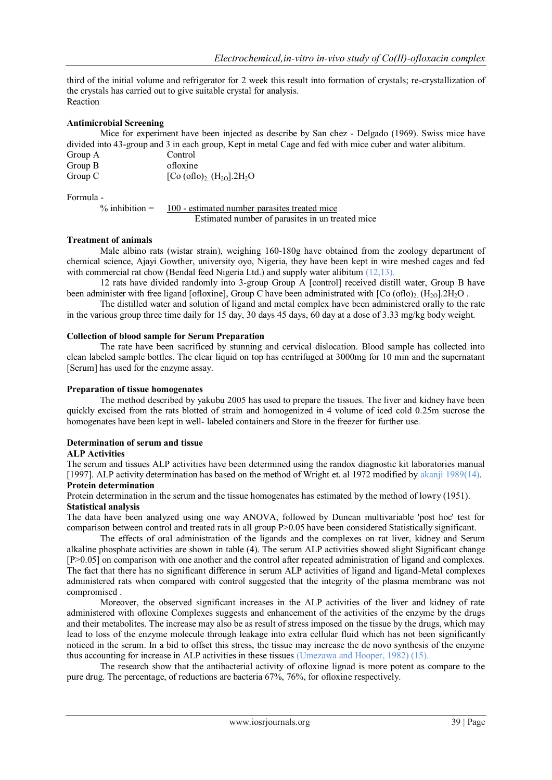third of the initial volume and refrigerator for 2 week this result into formation of crystals; re-crystallization of the crystals has carried out to give suitable crystal for analysis. Reaction

# **Antimicrobial Screening**

Mice for experiment have been injected as describe by San chez - Delgado (1969). Swiss mice have divided into 43-group and 3 in each group, Kept in metal Cage and fed with mice cuber and water alibitum. Group A Control<br>Group B cfloxing  $G$ roup B

| OI VUP D | <b>UHUAHIU</b>                                                |
|----------|---------------------------------------------------------------|
| Group C  | [Co (oflo) <sub>2.</sub> (H <sub>2O</sub> ].2H <sub>2</sub> O |
|          |                                                               |

Formula -

 $%$  inhibition = 100 - estimated number parasites treated mice Estimated number of parasites in un treated mice

# **Treatment of animals**

Male albino rats (wistar strain), weighing 160-180g have obtained from the zoology department of chemical science, Ajayi Gowther, university oyo, Nigeria, they have been kept in wire meshed cages and fed with commercial rat chow (Bendal feed Nigeria Ltd.) and supply water alibitum (12,13).

12 rats have divided randomly into 3-group Group A [control] received distill water, Group B have been administer with free ligand [ofloxine], Group C have been administrated with  $[Co(oflo), (H<sub>2O</sub>].2H<sub>2</sub>O]$ .

The distilled water and solution of ligand and metal complex have been administered orally to the rate in the various group three time daily for 15 day, 30 days 45 days, 60 day at a dose of 3.33 mg/kg body weight.

#### **Collection of blood sample for Serum Preparation**

The rate have been sacrificed by stunning and cervical dislocation. Blood sample has collected into clean labeled sample bottles. The clear liquid on top has centrifuged at 3000mg for 10 min and the supernatant [Serum] has used for the enzyme assay.

#### **Preparation of tissue homogenates**

The method described by yakubu 2005 has used to prepare the tissues. The liver and kidney have been quickly excised from the rats blotted of strain and homogenized in 4 volume of iced cold 0.25m sucrose the homogenates have been kept in well- labeled containers and Store in the freezer for further use.

# **Determination of serum and tissue**

#### **ALP Activities**

The serum and tissues ALP activities have been determined using the randox diagnostic kit laboratories manual [1997]. ALP activity determination has based on the method of Wright et. al 1972 modified by akanji 1989(14).

# **Protein determination**

Protein determination in the serum and the tissue homogenates has estimated by the method of lowry (1951).

#### **Statistical analysis**

The data have been analyzed using one way ANOVA, followed by Duncan multivariable 'post hoc' test for comparison between control and treated rats in all group P>0.05 have been considered Statistically significant.

The effects of oral administration of the ligands and the complexes on rat liver, kidney and Serum alkaline phosphate activities are shown in table (4). The serum ALP activities showed slight Significant change [P>0.05] on comparison with one another and the control after repeated administration of ligand and complexes. The fact that there has no significant difference in serum ALP activities of ligand and ligand-Metal complexes administered rats when compared with control suggested that the integrity of the plasma membrane was not compromised .

Moreover, the observed significant increases in the ALP activities of the liver and kidney of rate administered with ofloxine Complexes suggests and enhancement of the activities of the enzyme by the drugs and their metabolites. The increase may also be as result of stress imposed on the tissue by the drugs, which may lead to loss of the enzyme molecule through leakage into extra cellular fluid which has not been significantly noticed in the serum. In a bid to offset this stress, the tissue may increase the de novo synthesis of the enzyme thus accounting for increase in ALP activities in these tissues (Umezawa and Hooper, 1982) (15).

The research show that the antibacterial activity of ofloxine lignad is more potent as compare to the pure drug. The percentage, of reductions are bacteria 67%, 76%, for ofloxine respectively.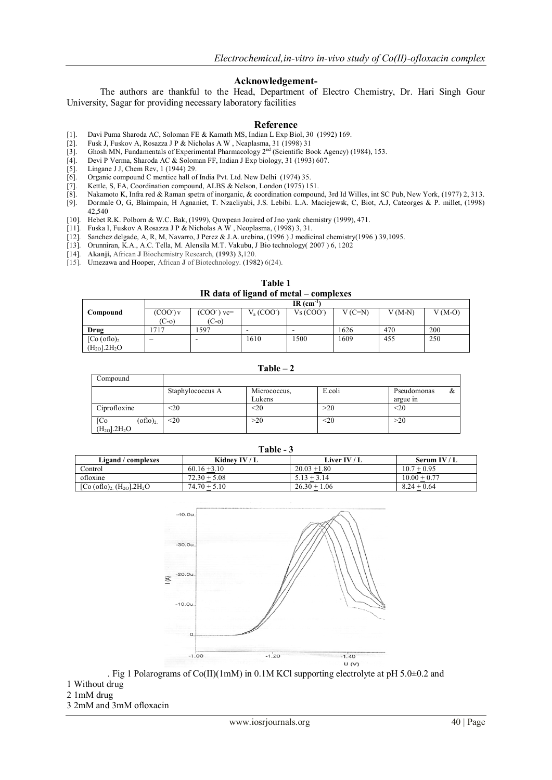#### **Acknowledgement-**

The authors are thankful to the Head, Department of Electro Chemistry, Dr. Hari Singh Gour University, Sagar for providing necessary laboratory facilities

#### **Reference**

- [1]. Davi Puma Sharoda AC, Soloman FE & Kamath MS, Indian L Exp Biol, 30 (1992) 169.
- [2]. Fusk J, Fuskov A, Rosazza J P & Nicholas A W , Ncaplasma, 31 (1998) 31
- [3]. Ghosh MN, Fundamentals of Experimental Pharmacology  $2<sup>nd</sup>$  (Scientific Book Agency) (1984), 153.
- [4]. Devi P Verma, Sharoda AC & Soloman FF, Indian J Exp biology, 31 (1993) 607.
- 
- [5]. Lingane J J, Chem Rev, 1 (1944) 29.<br>[6]. Organic compound C mentice hall of [7]. Kettle, S, FA, Coordination compound Organic compound C mentice hall of India Pvt. Ltd. New Delhi (1974) 35.
- Kettle, S, FA, Coordination compound, ALBS & Nelson, London (1975) 151.
- [8]. Nakamoto K, Infra red & Raman spetra of inorganic, & coordination compound, 3rd Id Willes, int SC Pub, New York, (1977) 2, 313.
- [9]. Dormale O, G, Blaimpain, H Agnaniet, T. Nzacliyabi, J.S. Lebibi. L.A. Maciejewsk, C, Biot, A.J, Cateorges & P. millet, (1998) 42,540
- [10]. Hebet R.K. Polborn & W.C. Bak, (1999), Quwpean Jouired of Jno yank chemistry (1999), 471.
- [11]. Fuska I, Fuskov A Rosazza J P & Nicholas A W , Neoplasma, (1998) 3, 31.
- [12]. Sanchez delgade, A, R, M, Navarro, J Perez & J.A. urebina, (1996 ) J medicinal chemistry(1996 ) 39,1095.
- [13]. Orunniran, K.A., A.C. Tella, M. Alensila M.T. Vakubu, J Bio technology( 2007 ) 6, 1202
- [14]. **Akanji,** African **J** Biochemistry Research, **(1993) 3,**120.
- [15]. Umezawa and Hooper, African **J** of Biotechnology. (1982) 6(24).

| Table 1                                |  |  |  |
|----------------------------------------|--|--|--|
| IR data of ligand of metal – complexes |  |  |  |

|                           | $IR$ (cm <sup>-1</sup> ) |              |             |                        |          |          |          |
|---------------------------|--------------------------|--------------|-------------|------------------------|----------|----------|----------|
| Compound                  | $(COO')$ v               | $(COO-)$ vc= | $V_a (COO)$ | Vs (COO <sup>2</sup> ) | $V(C=N)$ | $V(M-N)$ | $V(M-O)$ |
|                           | $(C-0)$                  | $(C-0)$      |             |                        |          |          |          |
| Drug                      | 717                      | 597          |             | -                      | 1626     | 470      | 200      |
| [Co (oflo) <sub>2</sub> ] | -                        |              | 1610        | 1500                   | 1609     | 455      | 250      |
| $(H_{20}].2H_{2}O$        |                          |              |             |                        |          |          |          |

**Table – 2**

| Compound               |                  |              |        |                  |
|------------------------|------------------|--------------|--------|------------------|
|                        | Staphylococcus A | Micrococcus, | E.coli | Pseudomonas<br>& |
|                        |                  | Lukens       |        | argue in         |
| Ciprofloxine           | $<$ 20           | $<$ 20       | >20    | $20$             |
| $\rm (oflo)_2$<br>[Co] | $20$             | >20          | $20$   | >20              |
| $(H_{2O}].2H_{2}O$     |                  |              |        |                  |

**Table - 3**

| Ligand / complexes                                           | Kidney IV / L  | <b>Liver IV / L</b> | Serum IV / $L$ |
|--------------------------------------------------------------|----------------|---------------------|----------------|
| Control                                                      | $60.16 + 3.10$ | $20.03 + 1.80$      | $10.7 + 0.95$  |
| ofloxine                                                     | $72.30 + 5.08$ | $5.13 + 3.14$       | $10.00 + 0.77$ |
| [Co (oflo) <sub>2</sub> (H <sub>2O</sub> ].2H <sub>2</sub> O | $74.70 + 5.10$ | $26.30 + 1.06$      | $8.24 + 0.64$  |



. Fig 1 Polarograms of Co(II)(1mM) in 0.1M KCl supporting electrolyte at pH 5.0±0.2 and

- 1 Without drug
- 2 1mM drug

3 2mM and 3mM ofloxacin